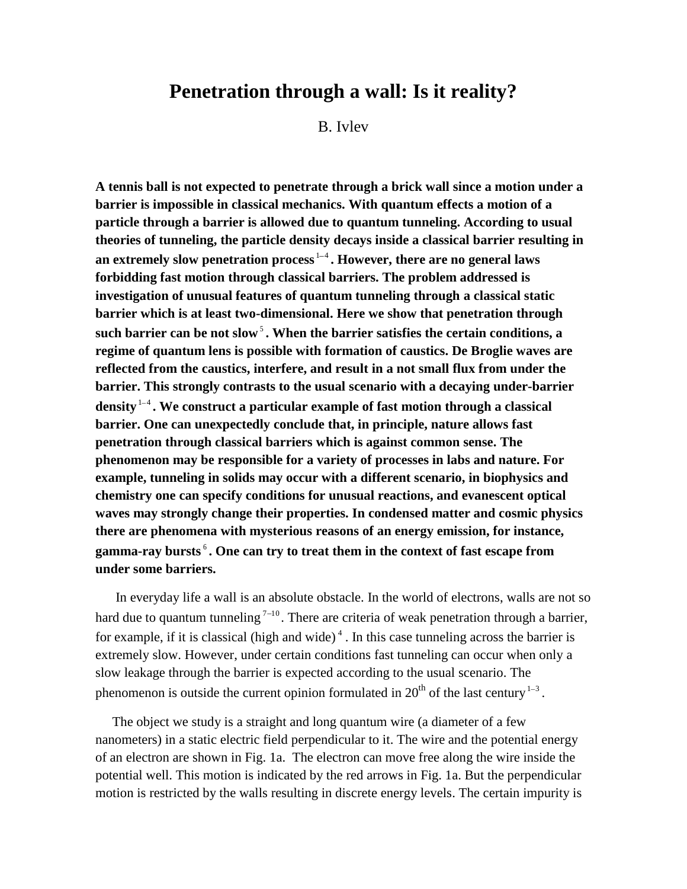## **Penetration through a wall: Is it reality?**

B. Ivlev

**A tennis ball is not expected to penetrate through a brick wall since a motion under a barrier is impossible in classical mechanics. With quantum effects a motion of a particle through a barrier is allowed due to quantum tunneling. According to usual theories of tunneling, the particle density decays inside a classical barrier resulting in**  an extremely slow penetration process<sup>1-4</sup>. However, there are no general laws **forbidding fast motion through classical barriers. The problem addressed is investigation of unusual features of quantum tunneling through a classical static barrier which is at least two-dimensional. Here we show that penetration through such barrier can be not slow** 5 **. When the barrier satisfies the certain conditions, a regime of quantum lens is possible with formation of caustics. De Broglie waves are reflected from the caustics, interfere, and result in a not small flux from under the barrier. This strongly contrasts to the usual scenario with a decaying under-barrier density** 1 4 **. We construct a particular example of fast motion through a classical barrier. One can unexpectedly conclude that, in principle, nature allows fast penetration through classical barriers which is against common sense. The phenomenon may be responsible for a variety of processes in labs and nature. For example, tunneling in solids may occur with a different scenario, in biophysics and chemistry one can specify conditions for unusual reactions, and evanescent optical waves may strongly change their properties. In condensed matter and cosmic physics there are phenomena with mysterious reasons of an energy emission, for instance, gamma-ray bursts** 6 **. One can try to treat them in the context of fast escape from under some barriers.** 

In everyday life a wall is an absolute obstacle. In the world of electrons, walls are not so hard due to quantum tunneling  $7-10$ . There are criteria of weak penetration through a barrier, for example, if it is classical (high and wide) 4 . In this case tunneling across the barrier is extremely slow. However, under certain conditions fast tunneling can occur when only a slow leakage through the barrier is expected according to the usual scenario. The phenomenon is outside the current opinion formulated in  $20<sup>th</sup>$  of the last century<sup>1-3</sup>.

 The object we study is a straight and long quantum wire (a diameter of a few nanometers) in a static electric field perpendicular to it. The wire and the potential energy of an electron are shown in Fig. 1a. The electron can move free along the wire inside the potential well. This motion is indicated by the red arrows in Fig. 1a. But the perpendicular motion is restricted by the walls resulting in discrete energy levels. The certain impurity is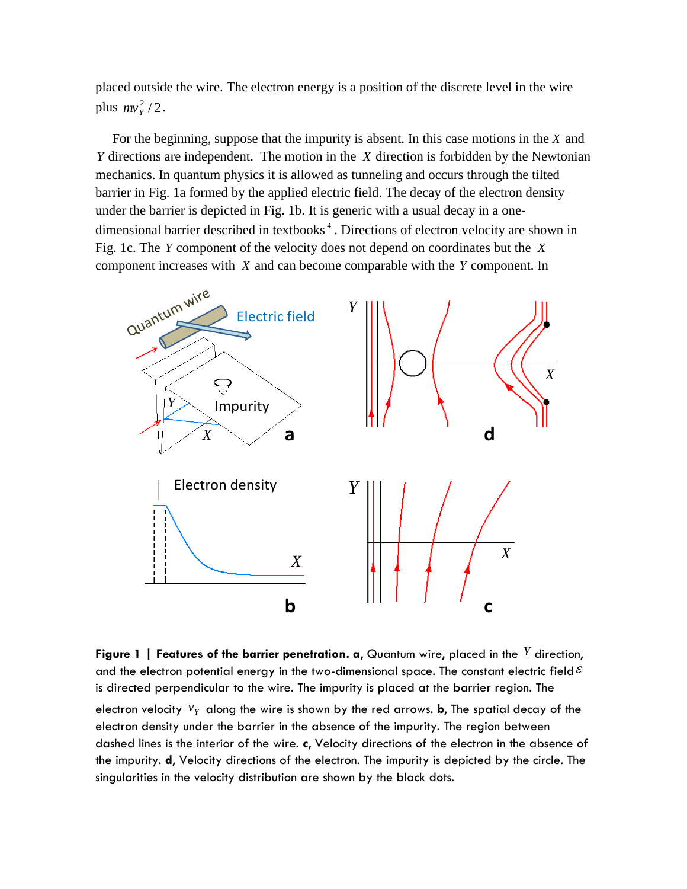placed outside the wire. The electron energy is a position of the discrete level in the wire plus  $mv_Y^2/2$ .

 For the beginning, suppose that the impurity is absent. In this case motions in the *X* and *Y* directions are independent. The motion in the *X* direction is forbidden by the Newtonian mechanics. In quantum physics it is allowed as tunneling and occurs through the tilted barrier in Fig. 1a formed by the applied electric field. The decay of the electron density under the barrier is depicted in Fig. 1b. It is generic with a usual decay in a onedimensional barrier described in textbooks 4 . Directions of electron velocity are shown in Fig. 1c. The *Y* component of the velocity does not depend on coordinates but the *X* component increases with *X* and can become comparable with the *Y* component. In



**Figure 1 | Features of the barrier penetration. a**, Quantum wire, placed in the *Y* direction, and the electron potential energy in the two-dimensional space. The constant electric field  $\varepsilon$ is directed perpendicular to the wire. The impurity is placed at the barrier region. The electron velocity  $v_y$  along the wire is shown by the red arrows. **b**, The spatial decay of the electron density under the barrier in the absence of the impurity. The region between dashed lines is the interior of the wire. **c**, Velocity directions of the electron in the absence of the impurity. **d**, Velocity directions of the electron. The impurity is depicted by the circle. The singularities in the velocity distribution are shown by the black dots.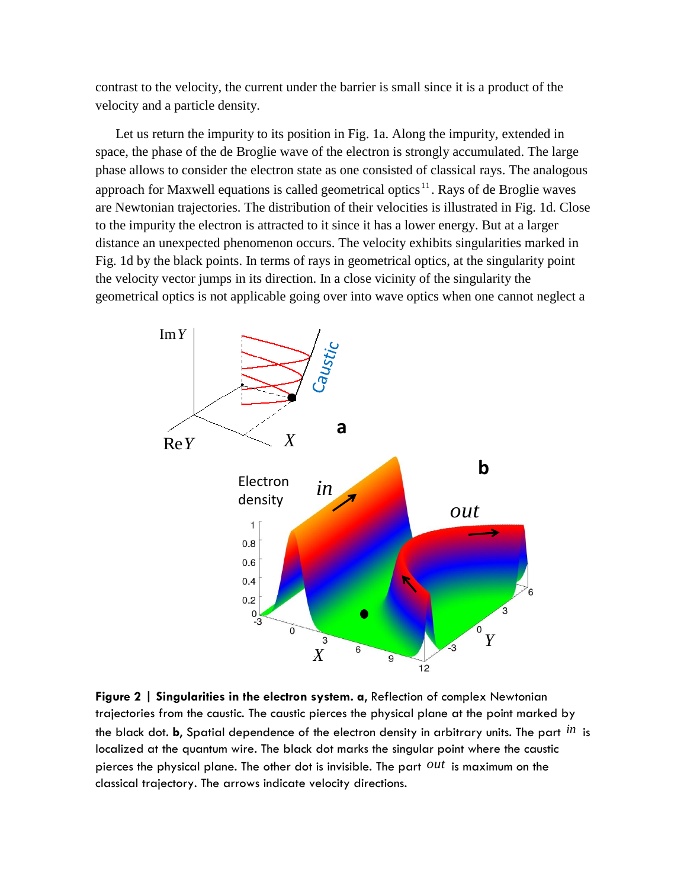contrast to the velocity, the current under the barrier is small since it is a product of the velocity and a particle density.

 Let us return the impurity to its position in Fig. 1a. Along the impurity, extended in space, the phase of the de Broglie wave of the electron is strongly accumulated. The large phase allows to consider the electron state as one consisted of classical rays. The analogous approach for Maxwell equations is called geometrical optics<sup>11</sup>. Rays of de Broglie waves are Newtonian trajectories. The distribution of their velocities is illustrated in Fig. 1d. Close to the impurity the electron is attracted to it since it has a lower energy. But at a larger distance an unexpected phenomenon occurs. The velocity exhibits singularities marked in Fig. 1d by the black points. In terms of rays in geometrical optics, at the singularity point the velocity vector jumps in its direction. In a close vicinity of the singularity the geometrical optics is not applicable going over into wave optics when one cannot neglect a



**Figure 2 | Singularities in the electron system. a**, Reflection of complex Newtonian trajectories from the caustic. The caustic pierces the physical plane at the point marked by the black dot. **b**, Spatial dependence of the electron density in arbitrary units. The part *in* is localized at the quantum wire. The black dot marks the singular point where the caustic pierces the physical plane. The other dot is invisible. The part *out* is maximum on the classical trajectory. The arrows indicate velocity directions.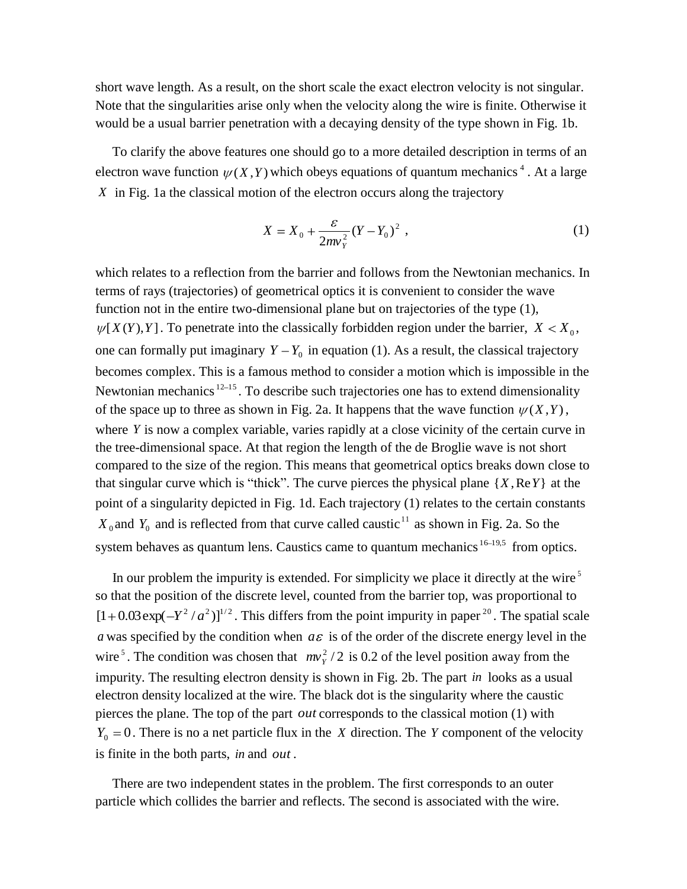short wave length. As a result, on the short scale the exact electron velocity is not singular. Note that the singularities arise only when the velocity along the wire is finite. Otherwise it would be a usual barrier penetration with a decaying density of the type shown in Fig. 1b.

 To clarify the above features one should go to a more detailed description in terms of an electron wave function  $\psi(X, Y)$  which obeys equations of quantum mechanics<sup>4</sup>. At a large *X* in Fig. 1a the classical motion of the electron occurs along the trajectory

$$
X = X_0 + \frac{\varepsilon}{2m v_Y^2} (Y - Y_0)^2 , \qquad (1)
$$

which relates to a reflection from the barrier and follows from the Newtonian mechanics. In terms of rays (trajectories) of geometrical optics it is convenient to consider the wave function not in the entire two-dimensional plane but on trajectories of the type (1),  $[X(Y), Y]$ . To penetrate into the classically forbidden region under the barrier,  $X < X_0$ , one can formally put imaginary  $Y - Y_0$  in equation (1). As a result, the classical trajectory becomes complex. This is a famous method to consider a motion which is impossible in the Newtonian mechanics<sup>12-15</sup>. To describe such trajectories one has to extend dimensionality of the space up to three as shown in Fig. 2a. It happens that the wave function  $\psi(X, Y)$ , where *Y* is now a complex variable, varies rapidly at a close vicinity of the certain curve in the tree-dimensional space. At that region the length of the de Broglie wave is not short compared to the size of the region. This means that geometrical optics breaks down close to that singular curve which is "thick". The curve pierces the physical plane  $\{X, \text{Re}\,Y\}$  at the point of a singularity depicted in Fig. 1d. Each trajectory (1) relates to the certain constants  $X_0$  and  $Y_0$  and is reflected from that curve called caustic<sup>11</sup> as shown in Fig. 2a. So the system behaves as quantum lens. Caustics came to quantum mechanics  $16-19,5$  from optics.

In our problem the impurity is extended. For simplicity we place it directly at the wire<sup>5</sup> so that the position of the discrete level, counted from the barrier top, was proportional to  $[1+0.03 \exp(-Y^2/a^2)]^{1/2}$ . This differs from the point impurity in paper<sup>20</sup>. The spatial scale a was specified by the condition when  $a\epsilon$  is of the order of the discrete energy level in the wire<sup>5</sup>. The condition was chosen that  $mv_y^2/2$  is 0.2 of the level position away from the impurity. The resulting electron density is shown in Fig. 2b. The part *in* looks as a usual electron density localized at the wire. The black dot is the singularity where the caustic pierces the plane. The top of the part *out* corresponds to the classical motion (1) with  $Y_0 = 0$ . There is no a net particle flux in the X direction. The Y component of the velocity is finite in the both parts, *in* and *out* .

 There are two independent states in the problem. The first corresponds to an outer particle which collides the barrier and reflects. The second is associated with the wire.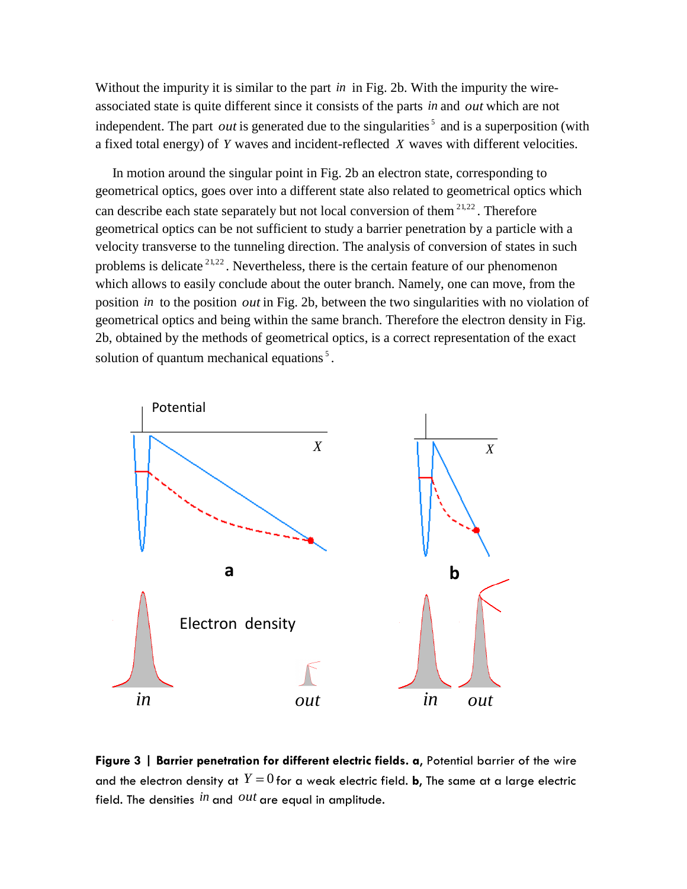Without the impurity it is similar to the part *in* in Fig. 2b. With the impurity the wireassociated state is quite different since it consists of the parts *in* and *out* which are not independent. The part *out* is generated due to the singularities<sup>5</sup> and is a superposition (with a fixed total energy) of *Y* waves and incident-reflected *X* waves with different velocities.

 In motion around the singular point in Fig. 2b an electron state, corresponding to geometrical optics, goes over into a different state also related to geometrical optics which can describe each state separately but not local conversion of them  $2^{1,22}$ . Therefore geometrical optics can be not sufficient to study a barrier penetration by a particle with a velocity transverse to the tunneling direction. The analysis of conversion of states in such problems is delicate  $2^{1,22}$ . Nevertheless, there is the certain feature of our phenomenon which allows to easily conclude about the outer branch. Namely, one can move, from the position *in* to the position *out* in Fig. 2b, between the two singularities with no violation of geometrical optics and being within the same branch. Therefore the electron density in Fig. 2b, obtained by the methods of geometrical optics, is a correct representation of the exact solution of quantum mechanical equations<sup>5</sup>.



**Figure 3 | Barrier penetration for different electric fields. a**, Potential barrier of the wire and the electron density at  $Y=0$  for a weak electric field. **b**, The same at a large electric field. The densities  $\dot{in}$  and  $\it{out}$  are equal in amplitude.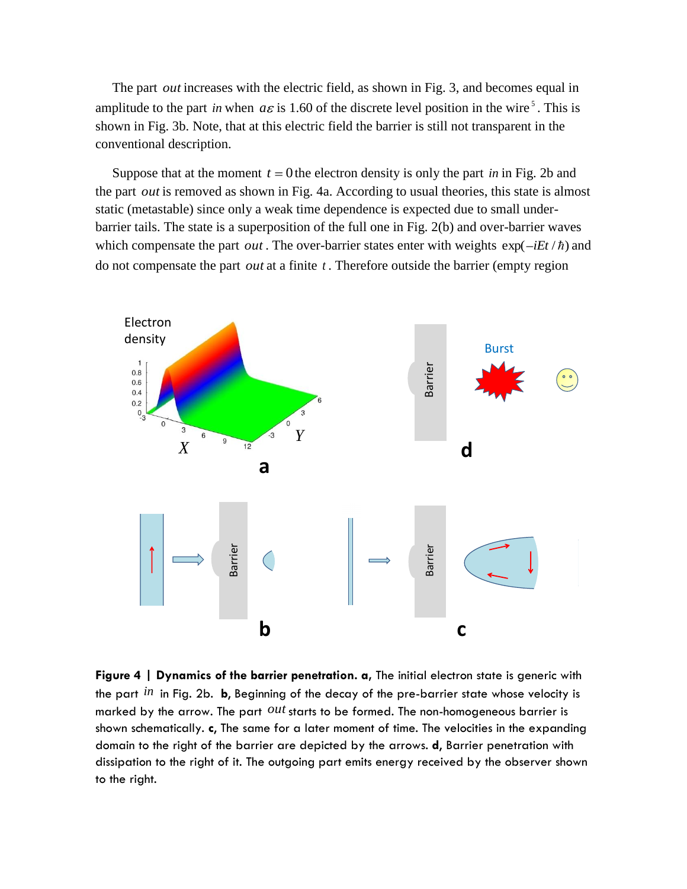The part *out* increases with the electric field, as shown in Fig. 3, and becomes equal in amplitude to the part *in* when  $a\epsilon$  is 1.60 of the discrete level position in the wire<sup>5</sup>. This is shown in Fig. 3b. Note, that at this electric field the barrier is still not transparent in the conventional description.

Suppose that at the moment  $t = 0$  the electron density is only the part *in* in Fig. 2b and the part *out* is removed as shown in Fig. 4a. According to usual theories, this state is almost static (metastable) since only a weak time dependence is expected due to small underbarrier tails. The state is a superposition of the full one in Fig. 2(b) and over-barrier waves which compensate the part *out*. The over-barrier states enter with weights  $\exp(-iEt/\hbar)$  and do not compensate the part *out* at a finite *t* . Therefore outside the barrier (empty region



**Figure 4 | Dynamics of the barrier penetration. a,** The initial electron state is generic with the part *in* in Fig. 2b. **b**, Beginning of the decay of the pre-barrier state whose velocity is marked by the arrow. The part  $\mathit{out}$  starts to be formed. The non-homogeneous barrier is shown schematically. **c**, The same for a later moment of time. The velocities in the expanding domain to the right of the barrier are depicted by the arrows. **d**, Barrier penetration with dissipation to the right of it. The outgoing part emits energy received by the observer shown to the right.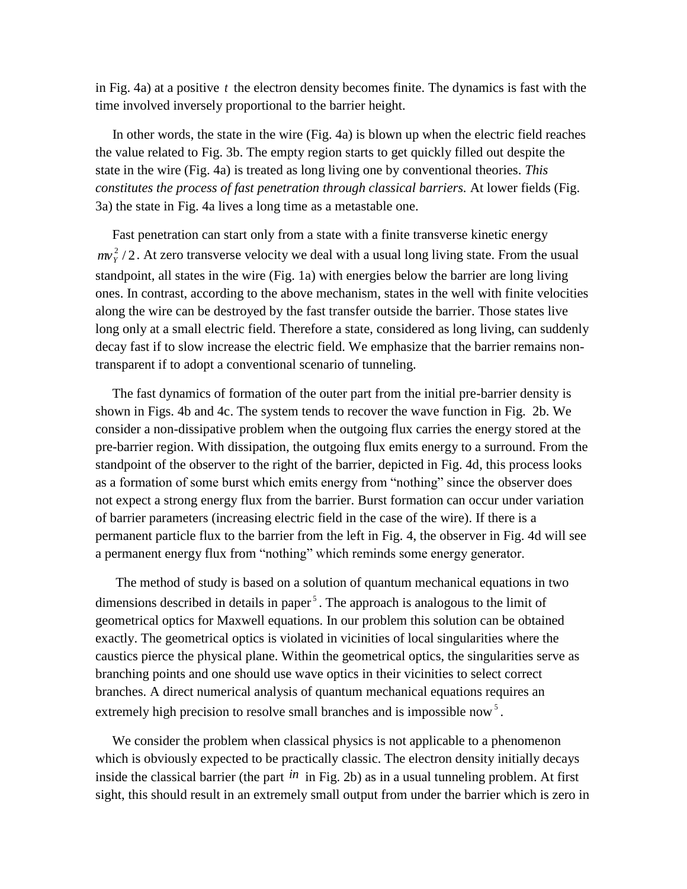in Fig. 4a) at a positive  $t$  the electron density becomes finite. The dynamics is fast with the time involved inversely proportional to the barrier height.

 In other words, the state in the wire (Fig. 4a) is blown up when the electric field reaches the value related to Fig. 3b. The empty region starts to get quickly filled out despite the state in the wire (Fig. 4a) is treated as long living one by conventional theories. *This constitutes the process of fast penetration through classical barriers.* At lower fields (Fig. 3a) the state in Fig. 4a lives a long time as a metastable one.

 Fast penetration can start only from a state with a finite transverse kinetic energy  $mv<sub>y</sub><sup>2</sup>/2$ . At zero transverse velocity we deal with a usual long living state. From the usual standpoint, all states in the wire (Fig. 1a) with energies below the barrier are long living ones. In contrast, according to the above mechanism, states in the well with finite velocities along the wire can be destroyed by the fast transfer outside the barrier. Those states live long only at a small electric field. Therefore a state, considered as long living, can suddenly decay fast if to slow increase the electric field. We emphasize that the barrier remains nontransparent if to adopt a conventional scenario of tunneling.

 The fast dynamics of formation of the outer part from the initial pre-barrier density is shown in Figs. 4b and 4c. The system tends to recover the wave function in Fig. 2b. We consider a non-dissipative problem when the outgoing flux carries the energy stored at the pre-barrier region. With dissipation, the outgoing flux emits energy to a surround. From the standpoint of the observer to the right of the barrier, depicted in Fig. 4d, this process looks as a formation of some burst which emits energy from "nothing" since the observer does not expect a strong energy flux from the barrier. Burst formation can occur under variation of barrier parameters (increasing electric field in the case of the wire). If there is a permanent particle flux to the barrier from the left in Fig. 4, the observer in Fig. 4d will see a permanent energy flux from "nothing" which reminds some energy generator.

 The method of study is based on a solution of quantum mechanical equations in two dimensions described in details in paper<sup>5</sup>. The approach is analogous to the limit of geometrical optics for Maxwell equations. In our problem this solution can be obtained exactly. The geometrical optics is violated in vicinities of local singularities where the caustics pierce the physical plane. Within the geometrical optics, the singularities serve as branching points and one should use wave optics in their vicinities to select correct branches. A direct numerical analysis of quantum mechanical equations requires an extremely high precision to resolve small branches and is impossible now<sup>5</sup>.

 We consider the problem when classical physics is not applicable to a phenomenon which is obviously expected to be practically classic. The electron density initially decays inside the classical barrier (the part *in* in Fig. 2b) as in a usual tunneling problem. At first sight, this should result in an extremely small output from under the barrier which is zero in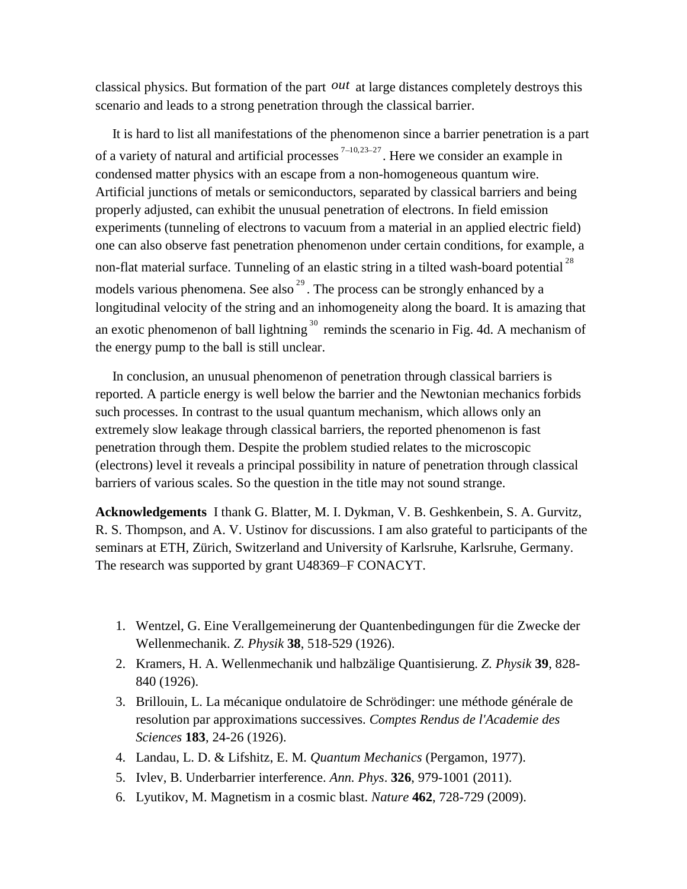classical physics. But formation of the part *out* at large distances completely destroys this scenario and leads to a strong penetration through the classical barrier.

 It is hard to list all manifestations of the phenomenon since a barrier penetration is a part of a variety of natural and artificial processes  $7-10,23-27$ . Here we consider an example in condensed matter physics with an escape from a non-homogeneous quantum wire. Artificial junctions of metals or semiconductors, separated by classical barriers and being properly adjusted, can exhibit the unusual penetration of electrons. In field emission experiments (tunneling of electrons to vacuum from a material in an applied electric field) one can also observe fast penetration phenomenon under certain conditions, for example, a non-flat material surface. Tunneling of an elastic string in a tilted wash-board potential<sup>28</sup> models various phenomena. See also<sup>29</sup>. The process can be strongly enhanced by a longitudinal velocity of the string and an inhomogeneity along the board. It is amazing that an exotic phenomenon of ball lightning<sup>30</sup> reminds the scenario in Fig. 4d. A mechanism of the energy pump to the ball is still unclear.

 In conclusion, an unusual phenomenon of penetration through classical barriers is reported. A particle energy is well below the barrier and the Newtonian mechanics forbids such processes. In contrast to the usual quantum mechanism, which allows only an extremely slow leakage through classical barriers, the reported phenomenon is fast penetration through them. Despite the problem studied relates to the microscopic (electrons) level it reveals a principal possibility in nature of penetration through classical barriers of various scales. So the question in the title may not sound strange.

**Acknowledgements** I thank G. Blatter, M. I. Dykman, V. B. Geshkenbein, S. A. Gurvitz, R. S. Thompson, and A. V. Ustinov for discussions. I am also grateful to participants of the seminars at ETH, Zürich, Switzerland and University of Karlsruhe, Karlsruhe, Germany. The research was supported by grant U48369–F CONACYT.

- 1. Wentzel, G. Eine Verallgemeinerung der Quantenbedingungen für die Zwecke der Wellenmechanik. *Z. Physik* **38**, 518-529 (1926).
- 2. Kramers, H. A. Wellenmechanik und halbzälige Quantisierung. *Z. Physik* **39**, 828- 840 (1926).
- 3. Brillouin, L. La mécanique ondulatoire de Schrödinger: une méthode générale de resolution par approximations successives. *Comptes Rendus de l'Academie des Sciences* **183**, 24-26 (1926).
- 4. Landau, L. D. & Lifshitz, E. M*. Quantum Mechanics* (Pergamon, 1977).
- 5. Ivlev, B. Underbarrier interference. *Ann. Phys*. **326**, 979-1001 (2011).
- 6. Lyutikov, M. Magnetism in a cosmic blast. *Nature* **462**, 728-729 (2009).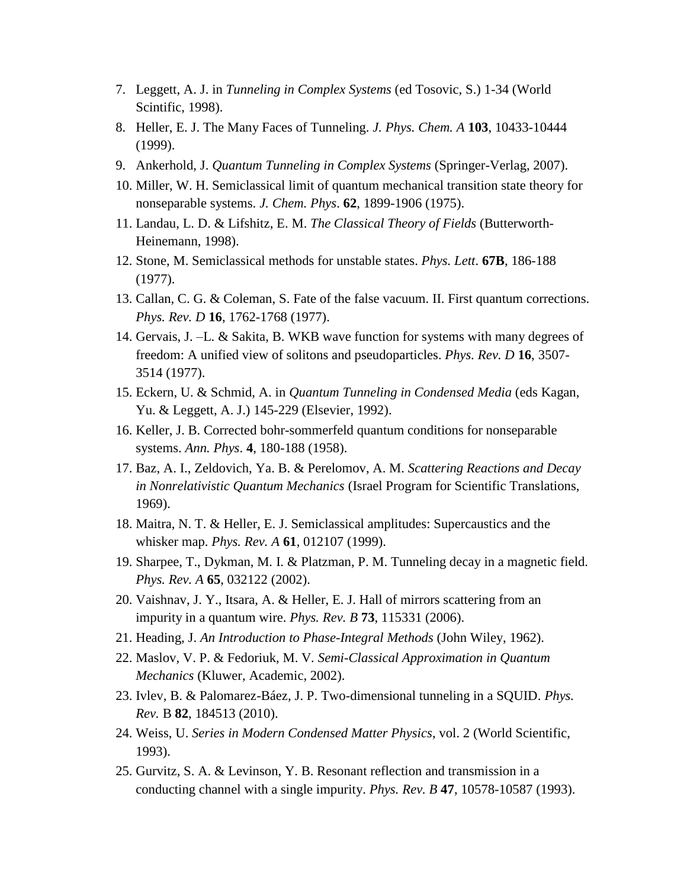- 7. Leggett, A. J. in *Tunneling in Complex Systems* (ed Tosovic, S.) 1-34 (World Scintific, 1998).
- 8. Heller, E. J. The Many Faces of Tunneling. *J. Phys. Chem. A* **103**, 10433-10444 (1999).
- 9. Ankerhold, J. *Quantum Tunneling in Complex Systems* (Springer-Verlag, 2007).
- 10. Miller, W. H. Semiclassical limit of quantum mechanical transition state theory for nonseparable systems. *J. Chem. Phys*. **62**, 1899-1906 (1975).
- 11. Landau, L. D. & Lifshitz, E. M. *The Classical Theory of Fields* (Butterworth-Heinemann, 1998).
- 12. Stone, M. Semiclassical methods for unstable states. *Phys. Lett*. **67B**, 186-188 (1977).
- 13. Callan, C. G. & Coleman, S. Fate of the false vacuum. II. First quantum corrections. *Phys. Rev. D* **16**, 1762-1768 (1977).
- 14. Gervais, J. –L. & Sakita, B. WKB wave function for systems with many degrees of freedom: A unified view of solitons and pseudoparticles. *Phys. Rev. D* **16**, 3507- 3514 (1977).
- 15. Eckern, U. & Schmid, A. in *Quantum Tunneling in Condensed Media* (eds Kagan, Yu. & Leggett, A. J.) 145-229 (Elsevier, 1992).
- 16. Keller, J. B. Corrected bohr-sommerfeld quantum conditions for nonseparable systems. *Ann. Phys*. **4**, 180-188 (1958).
- 17. Baz, A. I., Zeldovich, Ya. B. & Perelomov, A. M. *Scattering Reactions and Decay in Nonrelativistic Quantum Mechanics* (Israel Program for Scientific Translations, 1969).
- 18. Maitra, N. T. & Heller, E. J. Semiclassical amplitudes: Supercaustics and the whisker map. *Phys. Rev. A* **61**, 012107 (1999).
- 19. Sharpee, T., Dykman, M. I. & Platzman, P. M. Tunneling decay in a magnetic field. *Phys. Rev. A* **65**, 032122 (2002).
- 20. Vaishnav, J. Y., Itsara, A. & Heller, E. J. Hall of mirrors scattering from an impurity in a quantum wire. *Phys. Rev. B* **73**, 115331 (2006).
- 21. Heading, J. *An Introduction to Phase-Integral Methods* (John Wiley, 1962).
- 22. Maslov, V. P. & Fedoriuk, M. V*. Semi-Classical Approximation in Quantum Mechanics* (Kluwer, Academic, 2002).
- 23. Ivlev, B. & Palomarez-Báez, J. P. Two-dimensional tunneling in a SQUID. *Phys. Rev.* B **82**, 184513 (2010).
- 24. Weiss, U. *Series in Modern Condensed Matter Physics*, vol. 2 (World Scientific, 1993).
- 25. Gurvitz, S. A. & Levinson, Y. B. Resonant reflection and transmission in a conducting channel with a single impurity. *Phys. Rev. B* **47**, 10578-10587 (1993).